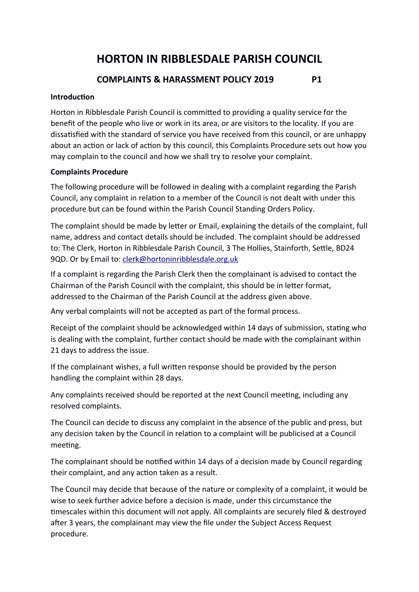# **HORTON IN RIBBLESDALE PARISH COUNCIL**

## **COMPLAINTS & HARASSMENT POLICY 2019 P1**

### **Introduction**

Horton in Ribblesdale Parish Council is commited to providing a quality service for the benefit of the people who live or work in its area, or are visitors to the locality. If you are dissatisfied with the standard of service you have received from this council, or are unhappy about an action or lack of action by this council, this Complaints Procedure sets out how you may complain to the council and how we shall try to resolve your complaint.

### **Complaints Procedure**

The following procedure will be followed in dealing with a complaint regarding the Parish Council, any complaint in relation to a member of the Council is not dealt with under this procedure but can be found within the Parish Council Standing Orders Policy.

The complaint should be made by letter or Email, explaining the details of the complaint, full name, address and contact details should be included. The complaint should be addressed to: The Clerk, Horton in Ribblesdale Parish Council, 3 The Hollies, Stainforth, Settle, BD24 9QD. Or by Email to: clerk@hortoninribblesdale.org.uk

If a complaint is regarding the Parish Clerk then the complainant is advised to contact the Chairman of the Parish Council with the complaint, this should be in letter format, addressed to the Chairman of the Parish Council at the address given above

Any verbal complaints will not be accepted as part of the formal process.

Receipt of the complaint should be acknowledged within 14 days of submission, stating who is dealing with the complaint, further contact should be made with the complainant within 21 days to address the issue

If the complainant wishes, a full written response should be provided by the person handling the complaint within 28 days.

Any complaints received should be reported at the next Council meeting, including any resolved complaints

The Council can decide to discuss any complaint in the absence of the public and press, but any decision taken by the Council in relation to a complaint will be publicised at a Council meeting

The complainant should be notified within 14 days of a decision made by Council regarding their complaint, and any action taken as a result.

The Council may decide that because of the nature or complexity of a complaint, it would be wise to seek further advice before a decision is made, under this circumstance the timescales within this document will not apply. All complaints are securely filed & destroyed after 3 years, the complainant may view the file under the Subject Access Request procedure